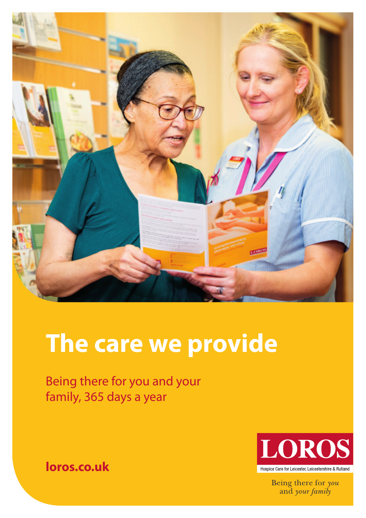

# **The care we provide**

Being there for you and your family, 365 days a year

> **LOROS** Hospice Care for Leicester Leicestershire & Butland

> > Being there for you and your family

**loros.co.uk**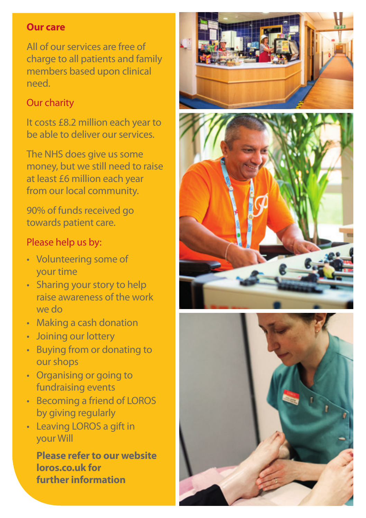#### **Our care**

All of our services are free of charge to all patients and family members based upon clinical need.

#### Our charity

It costs £8.2 million each year to be able to deliver our services.

The NHS does give us some money, but we still need to raise at least £6 million each year from our local community.

90% of funds received go towards patient care.

#### Please help us by:

- Volunteering some of your time
- Sharing your story to help raise awareness of the work we do
- Making a cash donation
- Joining our lottery
- Buying from or donating to our shops
- Organising or going to fundraising events
- Becoming a friend of LOROS by giving regularly
- Leaving LOROS a gift in your Will

**Please refer to our website loros.co.uk for further information**





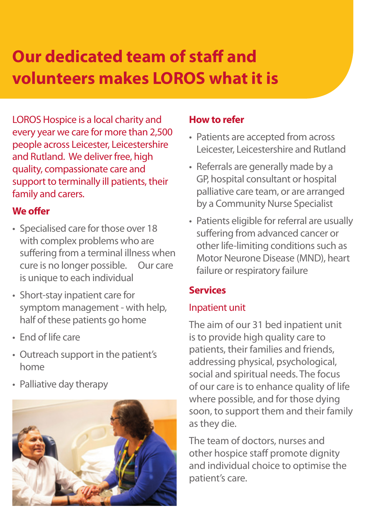# **Our dedicated team of staff and volunteers makes LOROS what it is**

LOROS Hospice is a local charity and every year we care for more than 2,500 people across Leicester, Leicestershire and Rutland. We deliver free, high quality, compassionate care and support to terminally ill patients, their family and carers.

#### **We offer**

- Specialised care for those over 18 with complex problems who are suffering from a terminal illness when cure is no longer possible. Our care is unique to each individual
- Short-stay inpatient care for symptom management - with help, half of these patients go home
- End of life care
- Outreach support in the patient's home
- Palliative day therapy



#### **How to refer**

- Patients are accepted from across Leicester, Leicestershire and Rutland
- Referrals are generally made by a GP, hospital consultant or hospital palliative care team, or are arranged by a Community Nurse Specialist
- Patients eligible for referral are usually suffering from advanced cancer or other life-limiting conditions such as Motor Neurone Disease (MND), heart failure or respiratory failure

#### **Services**

#### Inpatient unit

The aim of our 31 bed inpatient unit is to provide high quality care to patients, their families and friends, addressing physical, psychological, social and spiritual needs. The focus of our care is to enhance quality of life where possible, and for those dying soon, to support them and their family as they die.

The team of doctors, nurses and other hospice staff promote dignity and individual choice to optimise the patient's care.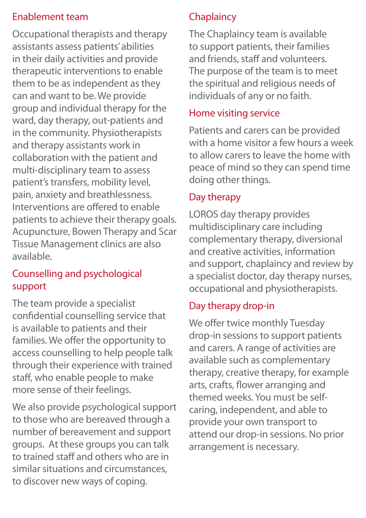#### Enablement team

Occupational therapists and therapy assistants assess patients' abilities in their daily activities and provide therapeutic interventions to enable them to be as independent as they can and want to be. We provide group and individual therapy for the ward, day therapy, out-patients and in the community. Physiotherapists and therapy assistants work in collaboration with the patient and multi-disciplinary team to assess patient's transfers, mobility level, pain, anxiety and breathlessness. Interventions are offered to enable patients to achieve their therapy goals. Acupuncture, Bowen Therapy and Scar Tissue Management clinics are also available.

#### Counselling and psychological support

The team provide a specialist confidential counselling service that is available to patients and their families. We offer the opportunity to access counselling to help people talk through their experience with trained staff, who enable people to make more sense of their feelings.

We also provide psychological support to those who are bereaved through a number of bereavement and support groups. At these groups you can talk to trained staff and others who are in similar situations and circumstances, to discover new ways of coping.

### **Chaplaincy**

The Chaplaincy team is available to support patients, their families and friends, staff and volunteers. The purpose of the team is to meet the spiritual and religious needs of individuals of any or no faith.

#### Home visiting service

Patients and carers can be provided with a home visitor a few hours a week to allow carers to leave the home with peace of mind so they can spend time doing other things.

#### Day therapy

LOROS day therapy provides multidisciplinary care including complementary therapy, diversional and creative activities, information and support, chaplaincy and review by a specialist doctor, day therapy nurses, occupational and physiotherapists.

#### Day therapy drop-in

We offer twice monthly Tuesday drop-in sessions to support patients and carers. A range of activities are available such as complementary therapy, creative therapy, for example arts, crafts, flower arranging and themed weeks. You must be selfcaring, independent, and able to provide your own transport to attend our drop-in sessions. No prior arrangement is necessary.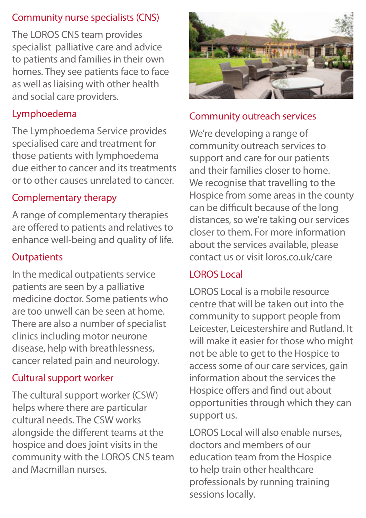#### Community nurse specialists (CNS)

The LOROS CNS team provides specialist palliative care and advice to patients and families in their own homes. They see patients face to face as well as liaising with other health and social care providers.

#### Lymphoedema

The Lymphoedema Service provides specialised care and treatment for those patients with lymphoedema due either to cancer and its treatments or to other causes unrelated to cancer.

#### Complementary therapy

A range of complementary therapies are offered to patients and relatives to enhance well-being and quality of life.

#### **Outpatients**

In the medical outpatients service patients are seen by a palliative medicine doctor. Some patients who are too unwell can be seen at home. There are also a number of specialist clinics including motor neurone disease, help with breathlessness, cancer related pain and neurology.

#### Cultural support worker

The cultural support worker (CSW) helps where there are particular cultural needs. The CSW works alongside the different teams at the hospice and does joint visits in the community with the LOROS CNS team and Macmillan nurses.



#### Community outreach services

We're developing a range of community outreach services to support and care for our patients and their families closer to home. We recognise that travelling to the Hospice from some areas in the county can be difficult because of the long distances, so we're taking our services closer to them. For more information about the services available, please contact us or visit loros.co.uk/care

#### LOROS Local

LOROS Local is a mobile resource centre that will be taken out into the community to support people from Leicester, Leicestershire and Rutland. It will make it easier for those who might not be able to get to the Hospice to access some of our care services, gain information about the services the Hospice offers and find out about opportunities through which they can support us.

LOROS Local will also enable nurses, doctors and members of our education team from the Hospice to help train other healthcare professionals by running training sessions locally.